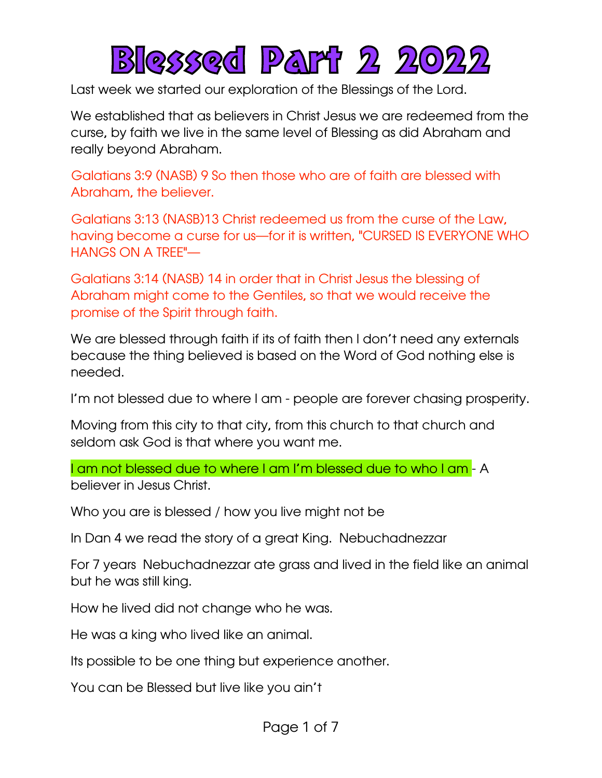

Last week we started our exploration of the Blessings of the Lord.

We established that as believers in Christ Jesus we are redeemed from the curse, by faith we live in the same level of Blessing as did Abraham and really beyond Abraham.

Galatians 3:9 (NASB) 9 So then those who are of faith are blessed with Abraham, the believer.

Galatians 3:13 (NASB)13 Christ redeemed us from the curse of the Law, having become a curse for us—for it is written, "CURSED IS EVERYONE WHO HANGS ON A TREE"—

Galatians 3:14 (NASB) 14 in order that in Christ Jesus the blessing of Abraham might come to the Gentiles, so that we would receive the promise of the Spirit through faith.

We are blessed through faith if its of faith then I don't need any externals because the thing believed is based on the Word of God nothing else is needed.

I'm not blessed due to where I am - people are forever chasing prosperity.

Moving from this city to that city, from this church to that church and seldom ask God is that where you want me.

I am not blessed due to where I am I'm blessed due to who I am - A believer in Jesus Christ.

Who you are is blessed / how you live might not be

In Dan 4 we read the story of a great King. Nebuchadnezzar

For 7 years Nebuchadnezzar ate grass and lived in the field like an animal but he was still king.

How he lived did not change who he was.

He was a king who lived like an animal.

Its possible to be one thing but experience another.

You can be Blessed but live like you ain't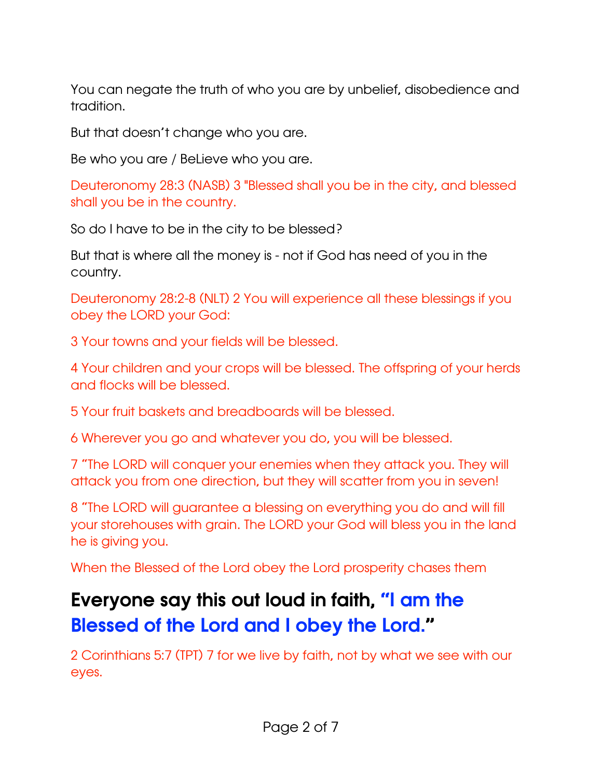You can negate the truth of who you are by unbelief, disobedience and tradition.

But that doesn't change who you are.

Be who you are / BeLieve who you are.

Deuteronomy 28:3 (NASB) 3 "Blessed shall you be in the city, and blessed shall you be in the country.

So do I have to be in the city to be blessed?

But that is where all the money is - not if God has need of you in the country.

Deuteronomy 28:2-8 (NLT) 2 You will experience all these blessings if you obey the LORD your God:

3 Your towns and your fields will be blessed.

4 Your children and your crops will be blessed. The offspring of your herds and flocks will be blessed.

5 Your fruit baskets and breadboards will be blessed.

6 Wherever you go and whatever you do, you will be blessed.

7 "The LORD will conquer your enemies when they attack you. They will attack you from one direction, but they will scatter from you in seven!

8 "The LORD will guarantee a blessing on everything you do and will fill your storehouses with grain. The LORD your God will bless you in the land he is giving you.

When the Blessed of the Lord obey the Lord prosperity chases them

## Everyone say this out loud in faith, "I am the Blessed of the Lord and I obey the Lord."

2 Corinthians 5:7 (TPT) 7 for we live by faith, not by what we see with our eyes.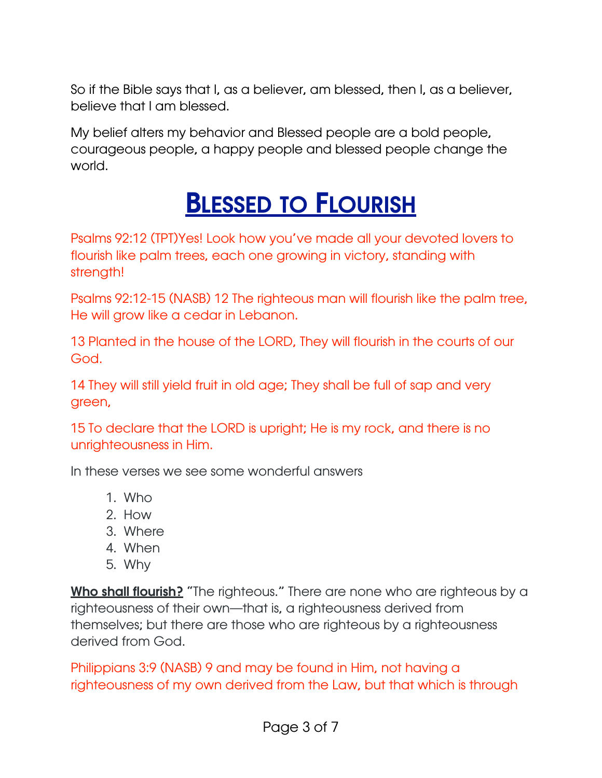So if the Bible says that I, as a believer, am blessed, then I, as a believer, believe that I am blessed.

My belief alters my behavior and Blessed people are a bold people, courageous people, a happy people and blessed people change the world.

## **BLESSED TO FLOURISH**

Psalms 92:12 (TPT)Yes! Look how you've made all your devoted lovers to flourish like palm trees, each one growing in victory, standing with strength!

Psalms 92:12-15 (NASB) 12 The righteous man will flourish like the palm tree, He will grow like a cedar in Lebanon.

13 Planted in the house of the LORD, They will flourish in the courts of our God.

14 They will still yield fruit in old age; They shall be full of sap and very green,

15 To declare that the LORD is upright; He is my rock, and there is no unrighteousness in Him.

In these verses we see some wonderful answers

- 1. Who
- 2. How
- 3. Where
- 4. When
- 5. Why

Who shall flourish? "The righteous." There are none who are righteous by a righteousness of their own—that is, a righteousness derived from themselves; but there are those who are righteous by a righteousness derived from God.

Philippians 3:9 (NASB) 9 and may be found in Him, not having a righteousness of my own derived from the Law, but that which is through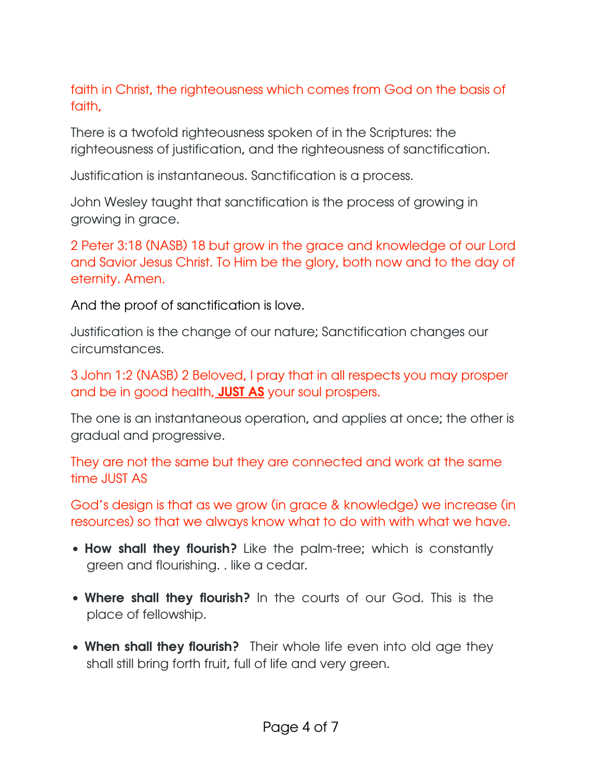faith in Christ, the righteousness which comes from God on the basis of faith,

There is a twofold righteousness spoken of in the Scriptures: the righteousness of justification, and the righteousness of sanctification.

Justification is instantaneous. Sanctification is a process.

John Wesley taught that sanctification is the process of growing in growing in grace.

2 Peter 3:18 (NASB) 18 but grow in the grace and knowledge of our Lord and Savior Jesus Christ. To Him be the glory, both now and to the day of eternity. Amen.

And the proof of sanctification is love.

Justification is the change of our nature; Sanctification changes our circumstances.

3 John 1:2 (NASB) 2 Beloved, I pray that in all respects you may prosper and be in good health, **JUST AS** your soul prospers.

The one is an instantaneous operation, and applies at once; the other is gradual and progressive.

They are not the same but they are connected and work at the same time JUST AS

God's design is that as we grow (in grace & knowledge) we increase (in resources) so that we always know what to do with with what we have.

- How shall they flourish? Like the palm-tree; which is constantly green and flourishing. . like a cedar.
- Where shall they flourish? In the courts of our God. This is the place of fellowship.
- When shall they flourish? Their whole life even into old age they shall still bring forth fruit, full of life and very green.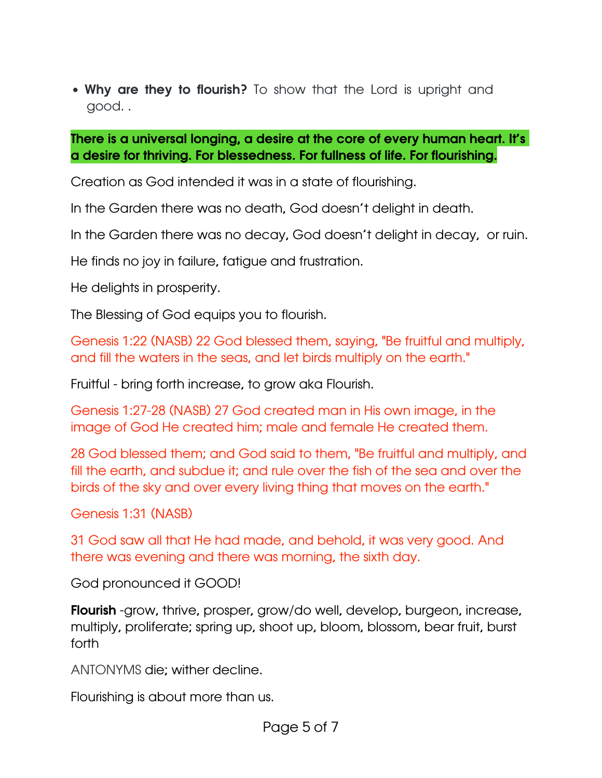• Why are they to flourish? To show that the Lord is upright and good. .

## There is a universal longing, a desire at the core of every human heart. It's a desire for thriving. For blessedness. For fullness of life. For flourishing.

Creation as God intended it was in a state of flourishing.

In the Garden there was no death, God doesn't delight in death.

In the Garden there was no decay, God doesn't delight in decay, or ruin.

He finds no joy in failure, fatigue and frustration.

He delights in prosperity.

The Blessing of God equips you to flourish.

Genesis 1:22 (NASB) 22 God blessed them, saying, "Be fruitful and multiply, and fill the waters in the seas, and let birds multiply on the earth."

Fruitful - bring forth increase, to grow aka Flourish.

Genesis 1:27-28 (NASB) 27 God created man in His own image, in the image of God He created him; male and female He created them.

28 God blessed them; and God said to them, "Be fruitful and multiply, and fill the earth, and subdue it; and rule over the fish of the sea and over the birds of the sky and over every living thing that moves on the earth."

Genesis 1:31 (NASB)

31 God saw all that He had made, and behold, it was very good. And there was evening and there was morning, the sixth day.

God pronounced it GOOD!

**Flourish** -grow, thrive, prosper, grow/do well, develop, burgeon, increase, multiply, proliferate; spring up, shoot up, bloom, blossom, bear fruit, burst forth

ANTONYMS die; wither decline.

Flourishing is about more than us.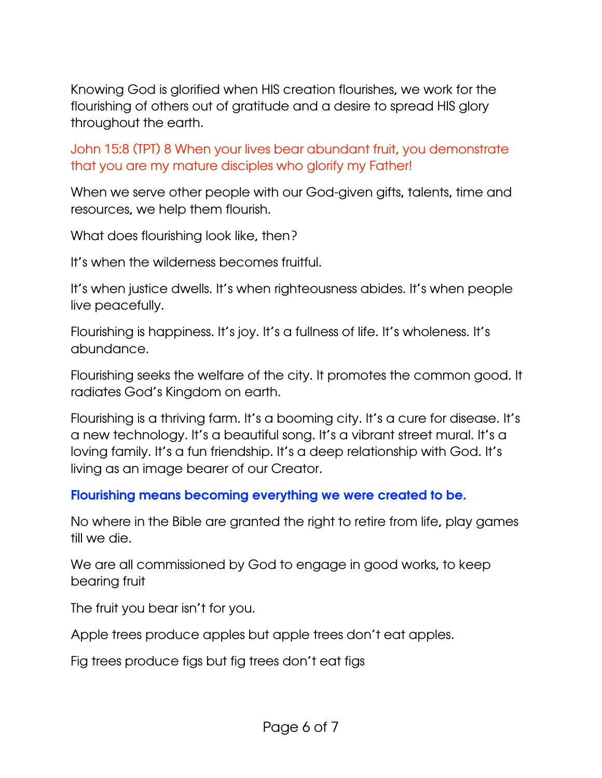Knowing God is glorified when HIS creation flourishes, we work for the flourishing of others out of gratitude and a desire to spread HIS glory throughout the earth.

John 15:8 (TPT) 8 When your lives bear abundant fruit, you demonstrate that you are my mature disciples who glorify my Father!

When we serve other people with our God-given gifts, talents, time and resources, we help them flourish.

What does flourishing look like, then?

It's when the wilderness becomes fruitful.

It's when justice dwells. It's when righteousness abides. It's when people live peacefully.

Flourishing is happiness. It's joy. It's a fullness of life. It's wholeness. It's abundance.

Flourishing seeks the welfare of the city. It promotes the common good. It radiates God's Kingdom on earth.

Flourishing is a thriving farm. It's a booming city. It's a cure for disease. It's a new technology. It's a beautiful song. It's a vibrant street mural. It's a loving family. It's a fun friendship. It's a deep relationship with God. It's living as an image bearer of our Creator.

## Flourishing means becoming everything we were created to be.

No where in the Bible are granted the right to retire from life, play games till we die.

We are all commissioned by God to engage in good works, to keep bearing fruit

The fruit you bear isn't for you.

Apple trees produce apples but apple trees don't eat apples.

Fig trees produce figs but fig trees don't eat figs